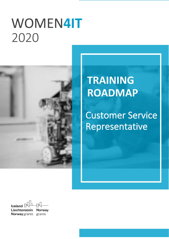# WOMEN**4IT** `2020



# **TRAINING ROADMAP**

# Customer Service Representative

Iceland  $\square$ Liechtenstein **Norway Norway** grants grants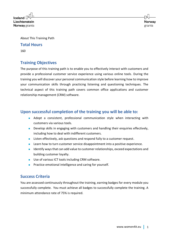**Iceland** Liechtenstein **Norway** grants

About This Training Path

#### **Total Hours**

160

# **Training Objectives**

The purpose of this training path is to enable you to effectively interact with customers and provide a professional customer service experience using various online tools. During the training you will discover your personal communication style before learning how to improve your communication skills through practicing listening and questioning techniques. The technical aspect of this training path covers common office applications and customer relationship management (CRM) software.

### **Upon successful completion of the training you will be able to:**

- Adopt a consistent, professional communication style when interacting with customers via various tools.
- Develop skills in engaging with customers and handling their enquiries effectively, including how to deal with indifferent customers.
- Listen effectively, ask questions and respond fully to a customer request.
- Learn how to turn customer service disappointment into a positive experience.
- Identify ways that can add value to customer relationships, exceed expectations and building customer loyalty.
- Use of various ICT tools including CRM software.
- Practice emotional intelligence and caring for yourself.

# **Success Criteria**

You are assessed continuously throughout the training, earning badges for every module you successfully complete. You must achieve all badges to successfully complete the training. A minimum attendance rate of 75% is required.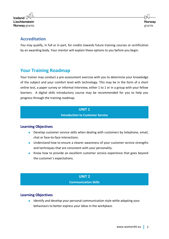$l$ celand $\lceil$ Liechtenstein **Norway** grants

## **Accreditation**

You may qualify, in full or in part, for credits towards future training courses or certification by an awarding body. Your mentor will explain these options to you before you begin.

# **Your Training Roadmap**

Your trainer may conduct a pre-assessment exercise with you to determine your knowledge of the subject and your comfort level with technology. This may be in the form of a short online test, a paper survey or informal interview, either 1 to 1 or in a group with your fellow learners. A digital skills introductory course may be recommended for you to help you progress through the training roadmap.

#### **UNIT 1 Introduction to Customer Service**

#### **Learning Objectives**

- Develop customer service skills when dealing with customers by telephone, email, chat or face-to-face interactions.
- Understand how to ensure a clearer awareness of your customer service strengths and techniques that are consistent with your personality.
- Know how to provide an excellent customer service experience that goes beyond the customer's expectations.

#### **UNIT 2 Communication Skills**

#### **Learning Objectives**

Identify and develop your personal communication style while adapting your behaviours to better express your ideas in the workplace.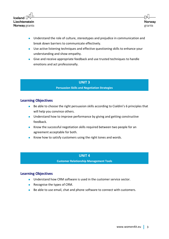

- Understand the role of culture, stereotypes and prejudice in communication and break down barriers to communicate effectively.
- Use active listening techniques and effective questioning skills to enhance your understanding and show empathy.
- Give and receive appropriate feedback and use trusted techniques to handle emotions and act professionally.

#### **UNIT 3**

#### **Persuasion Skills and Negotiation Strategies**

#### **Learning Objectives**

- Be able to choose the right persuasion skills according to Cialdini's 6 principles that will help you convince others.
- Understand how to improve performance by giving and getting constructive feedback.
- Know the successful negotiation skills required between two people for an agreement acceptable for both.
- Know how to satisfy customers using the right tones and words.

#### **UNIT 4**

**Customer Relationship Management Tools**

#### **Learning Objectives**

- Understand how CRM software is used in the customer service sector.
- Recognise the types of CRM.
- Be able to use email, chat and phone software to connect with customers.

**Norway** 

grants